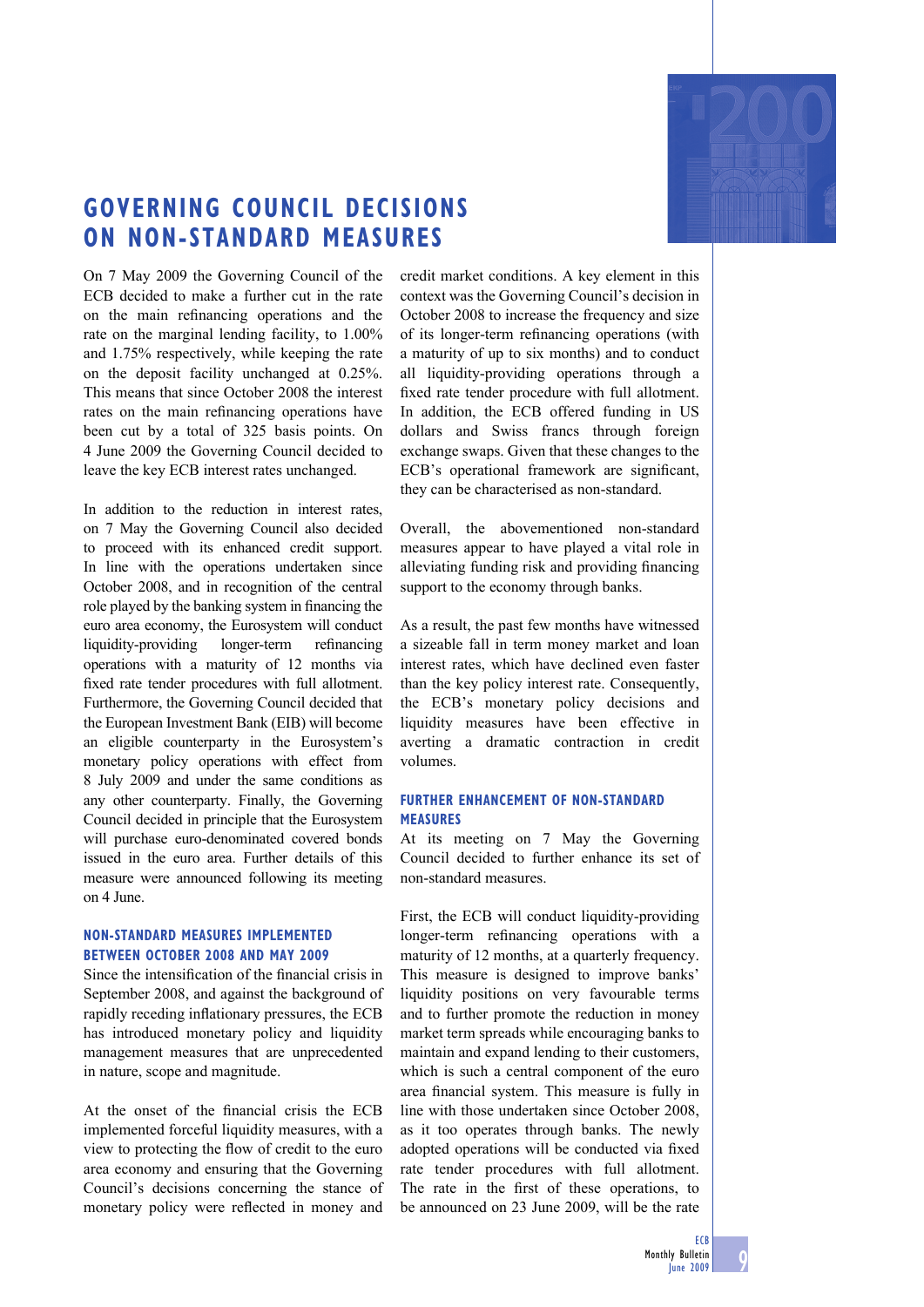

## **GOVERNING COUNCIL DECISIONS ON NON-STANDARD MEASURES**

On 7 May 2009 the Governing Council of the ECB decided to make a further cut in the rate on the main refinancing operations and the rate on the marginal lending facility, to 1.00% and 1.75% respectively, while keeping the rate on the deposit facility unchanged at 0.25%. This means that since October 2008 the interest rates on the main refinancing operations have been cut by a total of 325 basis points. On 4 June 2009 the Governing Council decided to leave the key ECB interest rates unchanged.

In addition to the reduction in interest rates, on 7 May the Governing Council also decided to proceed with its enhanced credit support. In line with the operations undertaken since October 2008, and in recognition of the central role played by the banking system in financing the euro area economy, the Eurosystem will conduct liquidity-providing longer-term refinancing operations with a maturity of 12 months via fixed rate tender procedures with full allotment. Furthermore, the Governing Council decided that the European Investment Bank (EIB) will become an eligible counterparty in the Eurosystem's monetary policy operations with effect from 8 July 2009 and under the same conditions as any other counterparty. Finally, the Governing Council decided in principle that the Eurosystem will purchase euro-denominated covered bonds issued in the euro area. Further details of this measure were announced following its meeting on 4 June.

## **NON-STANDARD MEASURES IMPLEMENTED BETWEEN OCTOBER 2008 AND MAY 2009**

Since the intensification of the financial crisis in September 2008, and against the background of rapidly receding inflationary pressures, the ECB has introduced monetary policy and liquidity management measures that are unprecedented in nature, scope and magnitude.

At the onset of the financial crisis the ECB implemented forceful liquidity measures, with a view to protecting the flow of credit to the euro area economy and ensuring that the Governing Council's decisions concerning the stance of monetary policy were reflected in money and credit market conditions. A key element in this context was the Governing Council's decision in October 2008 to increase the frequency and size of its longer-term refinancing operations (with a maturity of up to six months) and to conduct all liquidity-providing operations through a fixed rate tender procedure with full allotment. In addition, the ECB offered funding in US dollars and Swiss francs through foreign exchange swaps. Given that these changes to the ECB's operational framework are significant. they can be characterised as non-standard.

Overall, the abovementioned non-standard measures appear to have played a vital role in alleviating funding risk and providing financing support to the economy through banks.

As a result, the past few months have witnessed a sizeable fall in term money market and loan interest rates, which have declined even faster than the key policy interest rate. Consequently, the ECB's monetary policy decisions and liquidity measures have been effective in averting a dramatic contraction in credit volumes.

## **FURTHER ENHANCEMENT OF NON-STANDARD MEASURES**

At its meeting on 7 May the Governing Council decided to further enhance its set of non-standard measures.

First, the ECB will conduct liquidity-providing longer-term refinancing operations with a maturity of 12 months, at a quarterly frequency. This measure is designed to improve banks' liquidity positions on very favourable terms and to further promote the reduction in money market term spreads while encouraging banks to maintain and expand lending to their customers, which is such a central component of the euro area financial system. This measure is fully in line with those undertaken since October 2008, as it too operates through banks. The newly adopted operations will be conducted via fixed rate tender procedures with full allotment. The rate in the first of these operations, to be announced on 23 June 2009, will be the rate

9